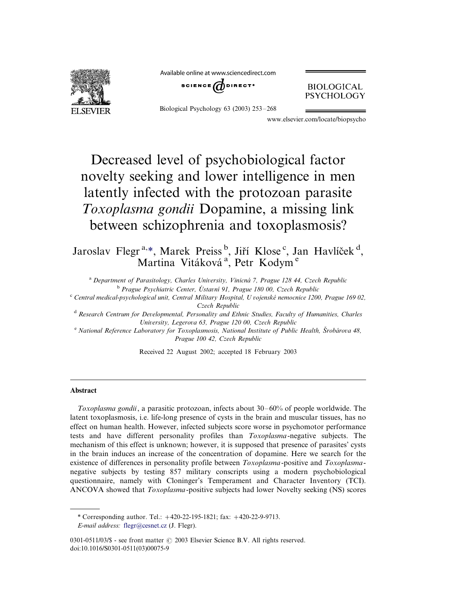

Available online at www.sciencedirect.com



Biological Psychology  $63$  (2003)  $253-268$ 

**BIOLOGICAL PSYCHOLOGY** 

www.elsevier.com/locate/biopsycho

# Decreased level of psychobiological factor novelty seeking and lower intelligence in men latently infected with the protozoan parasite Toxoplasma gondii Dopamine, a missing link between schizophrenia and toxoplasmosis?

Jaroslav Flegr<sup>a,\*</sup>, Marek Preiss<sup>b</sup>, Jiří Klose<sup>c</sup>, Jan Havlíček<sup>d</sup>, Martina Vitáková<sup>a</sup>, Petr Kodym<sup>e</sup>

<sup>a</sup> Department of Parasitology, Charles University, Vinicná 7, Prague 128 44, Czech Republic

<sup>b</sup> Prague Psychiatric Center, U<sup>st</sup>avní 91, Prague 180 00, Czech Republic<br><sup>c</sup> Central medical-psychological unit, Central Military Hospital, U vojenské nemocnice 1200, Prague 169 02, Czech Republic

<sup>d</sup> Research Centrum for Developmental, Personality and Ethnic Studies, Faculty of Humanities, Charles University, Legerova 63, Prague 120 00, Czech Republic<br><sup>e</sup> National Reference Laboratory for Toxoplasmosis, National Institute of Public Health, Šrobárova 48,

Prague 100 42, Czech Republic

Received 22 August 2002; accepted 18 February 2003

## Abstract

Toxoplasma gondii, a parasitic protozoan, infects about  $30-60\%$  of people worldwide. The latent toxoplasmosis, i.e. life-long presence of cysts in the brain and muscular tissues, has no effect on human health. However, infected subjects score worse in psychomotor performance tests and have different personality profiles than Toxoplasma-negative subjects. The mechanism of this effect is unknown; however, it is supposed that presence of parasites' cysts in the brain induces an increase of the concentration of dopamine. Here we search for the existence of differences in personality profile between Toxoplasma-positive and Toxoplasmanegative subjects by testing 857 military conscripts using a modern psychobiological questionnaire, namely with Cloninger's Temperament and Character Inventory (TCI). ANCOVA showed that *Toxoplasma*-positive subjects had lower Novelty seeking (NS) scores

<sup>\*</sup> Corresponding author. Tel.:  $+420-22-195-1821$ ; fax:  $+420-22-9-9713$ . E-mail address: [flegr@cesnet.cz](mailto:flegr@cesnet.cz) (J. Flegr).

<sup>0301-0511/03/\$ -</sup> see front matter  $\odot$  2003 Elsevier Science B.V. All rights reserved. doi:10.1016/S0301-0511(03)00075-9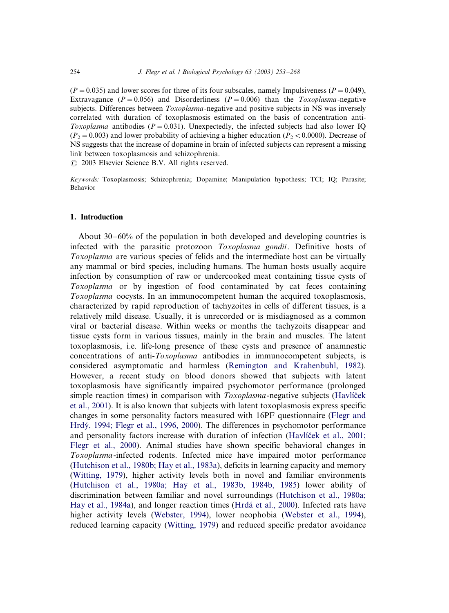$(P=0.035)$  and lower scores for three of its four subscales, namely Impulsiveness ( $P=0.049$ ), Extravagance ( $P = 0.056$ ) and Disorderliness ( $P = 0.006$ ) than the Toxoplasma-negative subjects. Differences between *Toxoplasma*-negative and positive subjects in NS was inversely correlated with duration of toxoplasmosis estimated on the basis of concentration anti-Toxoplasma antibodies ( $P = 0.031$ ). Unexpectedly, the infected subjects had also lower IQ  $(P_2=0.003)$  and lower probability of achieving a higher education ( $P_2 < 0.0000$ ). Decrease of NS suggests that the increase of dopamine in brain of infected subjects can represent a missing link between toxoplasmosis and schizophrenia.

 $\odot$  2003 Elsevier Science B.V. All rights reserved.

Keywords: Toxoplasmosis; Schizophrenia; Dopamine; Manipulation hypothesis; TCI; IQ; Parasite; Behavior

#### 1. Introduction

About  $30-60\%$  of the population in both developed and developing countries is infected with the parasitic protozoon Toxoplasma gondii. Definitive hosts of Toxoplasma are various species of felids and the intermediate host can be virtually any mammal or bird species, including humans. The human hosts usually acquire infection by consumption of raw or undercooked meat containing tissue cysts of Toxoplasma or by ingestion of food contaminated by cat feces containing Toxoplasma oocysts. In an immunocompetent human the acquired toxoplasmosis, characterized by rapid reproduction of tachyzoites in cells of different tissues, is a relatively mild disease. Usually, it is unrecorded or is misdiagnosed as a common viral or bacterial disease. Within weeks or months the tachyzoits disappear and tissue cysts form in various tissues, mainly in the brain and muscles. The latent toxoplasmosis, i.e. life-long presence of these cysts and presence of anamnestic concentrations of anti-*Toxoplasma* antibodies in immunocompetent subjects, is considered asymptomatic and harmless [\(Remington and Krahenbuhl, 1982\)](#page-14-0). However, a recent study on blood donors showed that subjects with latent toxoplasmosis have significantly impaired psychomotor performance (prolonged simple reaction times) in comparison with  $Toxoplasma$ -negative subjects (Havlíček [et al., 2001](#page-13-0)). It is also known that subjects with latent toxoplasmosis express specific changes in some personality factors measured with 16PF questionnaire [\(Flegr and](#page-13-0) [Hrdy´, 1994; Flegr et al., 1996, 2000\)](#page-13-0). The differences in psychomotor performance and personality factors increase with duration of infection (Havlíček et al., 2001; [Flegr et al., 2000](#page-13-0)). Animal studies have shown specific behavioral changes in Toxoplasma-infected rodents. Infected mice have impaired motor performance [\(Hutchison et al., 1980b; Hay et al., 1983a](#page-14-0)), deficits in learning capacity and memory [\(Witting, 1979\)](#page-15-0), higher activity levels both in novel and familiar environments [\(Hutchison et al., 1980a; Hay et al., 1983b, 1984b, 1985\)](#page-14-0) lower ability of discrimination between familiar and novel surroundings [\(Hutchison et al., 1980a;](#page-14-0) [Hay et al., 1984a\)](#page-14-0), and longer reaction times (Hrdá et al., 2000). Infected rats have higher activity levels ([Webster, 1994\)](#page-15-0), lower neophobia ([Webster et al., 1994\)](#page-15-0), reduced learning capacity ([Witting, 1979](#page-15-0)) and reduced specific predator avoidance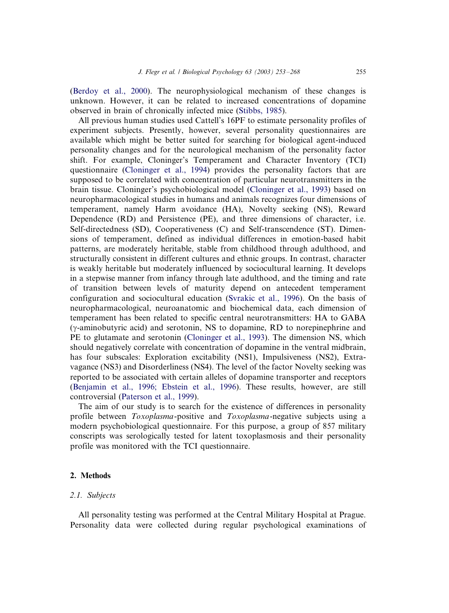[\(Berdoy et al., 2000\)](#page-13-0). The neurophysiological mechanism of these changes is unknown. However, it can be related to increased concentrations of dopamine observed in brain of chronically infected mice ([Stibbs, 1985\)](#page-14-0).

All previous human studies used Cattell's 16PF to estimate personality profiles of experiment subjects. Presently, however, several personality questionnaires are available which might be better suited for searching for biological agent-induced personality changes and for the neurological mechanism of the personality factor shift. For example, Cloninger's Temperament and Character Inventory (TCI) questionnaire ([Cloninger et al., 1994](#page-13-0)) provides the personality factors that are supposed to be correlated with concentration of particular neurotransmitters in the brain tissue. Cloninger's psychobiological model ([Cloninger et al., 1993](#page-13-0)) based on neuropharmacological studies in humans and animals recognizes four dimensions of temperament, namely Harm avoidance (HA), Novelty seeking (NS), Reward Dependence (RD) and Persistence (PE), and three dimensions of character, i.e. Self-directedness (SD), Cooperativeness (C) and Self-transcendence (ST). Dimensions of temperament, defined as individual differences in emotion-based habit patterns, are moderately heritable, stable from childhood through adulthood, and structurally consistent in different cultures and ethnic groups. In contrast, character is weakly heritable but moderately influenced by sociocultural learning. It develops in a stepwise manner from infancy through late adulthood, and the timing and rate of transition between levels of maturity depend on antecedent temperament configuration and sociocultural education (Sv[rakic et al., 1996](#page-15-0)). On the basis of neuropharmacological, neuroanatomic and biochemical data, each dimension of temperament has been related to specific central neurotransmitters: HA to GABA  $(\gamma$ -aminobutyric acid) and serotonin, NS to dopamine, RD to norepinephrine and PE to glutamate and serotonin ([Cloninger et al., 1993\)](#page-13-0). The dimension NS, which should negatively correlate with concentration of dopamine in the ventral midbrain, has four subscales: Exploration excitability (NS1), Impulsiveness (NS2), Extravagance (NS3) and Disorderliness (NS4). The level of the factor Novelty seeking was reported to be associated with certain alleles of dopamine transporter and receptors [\(Benjamin et al., 1996; Ebstein et al., 1996](#page-13-0)). These results, however, are still controversial [\(Paterson et al., 1999](#page-14-0)).

The aim of our study is to search for the existence of differences in personality profile between Toxoplasma-positive and Toxoplasma-negative subjects using a modern psychobiological questionnaire. For this purpose, a group of 857 military conscripts was serologically tested for latent toxoplasmosis and their personality profile was monitored with the TCI questionnaire.

# 2. Methods

# 2.1. Subjects

All personality testing was performed at the Central Military Hospital at Prague. Personality data were collected during regular psychological examinations of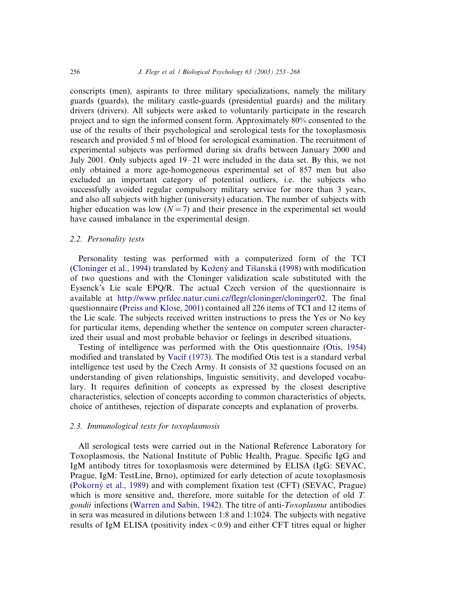conscripts (men), aspirants to three military specializations, namely the military guards (guards), the military castle-guards (presidential guards) and the military drivers (drivers). All subjects were asked to voluntarily participate in the research project and to sign the informed consent form. Approximately 80% consented to the use of the results of their psychological and serological tests for the toxoplasmosis research and provided 5 ml of blood for serological examination. The recruitment of experimental subjects was performed during six drafts between January 2000 and July 2001. Only subjects aged 19–21 were included in the data set. By this, we not only obtained a more age-homogeneous experimental set of 857 men but also excluded an important category of potential outliers, i.e. the subjects who successfully avoided regular compulsory military service for more than 3 years, and also all subjects with higher (university) education. The number of subjects with higher education was low  $(N=7)$  and their presence in the experimental set would have caused imbalance in the experimental design.

## 2.2. Personality tests

Personality testing was performed with a computerized form of the TCI [\(Cloninger et al., 1994](#page-13-0)) translated by Kožený and Tišanská (1998) with modification of two questions and with the Cloninger validization scale substituted with the Eysenck's Lie scale EPQ/R. The actual Czech version of the questionnaire is available at <http://www.prfdec.natur.cuni.cz/flegr/cloninger/cloninger02>. The final questionnaire [\(Preiss and Klose, 2001](#page-14-0)) contained all 226 items of TCI and 12 items of the Lie scale. The subjects received written instructions to press the Yes or No key for particular items, depending whether the sentence on computer screen characterized their usual and most probable behavior or feelings in described situations.

Testing of intelligence was performed with the Otis questionnaire [\(Otis, 1954](#page-14-0)) modified and translated by Vacif (1973). The modified Otis test is a standard verbal intelligence test used by the Czech Army. It consists of 32 questions focused on an understanding of given relationships, linguistic sensitivity, and developed vocabulary. It requires definition of concepts as expressed by the closest descriptive characteristics, selection of concepts according to common characteristics of objects, choice of antitheses, rejection of disparate concepts and explanation of proverbs.

## 2.3. Immunological tests for toxoplasmosis

All serological tests were carried out in the National Reference Laboratory for Toxoplasmosis, the National Institute of Public Health, Prague. Specific IgG and IgM antibody titres for toxoplasmosis were determined by ELISA (IgG: SEVAC, Prague, IgM: TestLine, Brno), optimized for early detection of acute toxoplasmosis (Pokorný [et al., 1989\)](#page-14-0) and with complement fixation test (CFT) (SEVAC, Prague) which is more sensitive and, therefore, more suitable for the detection of old T. gondii infections [\(Warren and Sabin, 1942\)](#page-15-0). The titre of anti-Toxoplasma antibodies in sera was measured in dilutions between 1:8 and 1:1024. The subjects with negative results of IgM ELISA (positivity index  $< 0.9$ ) and either CFT titres equal or higher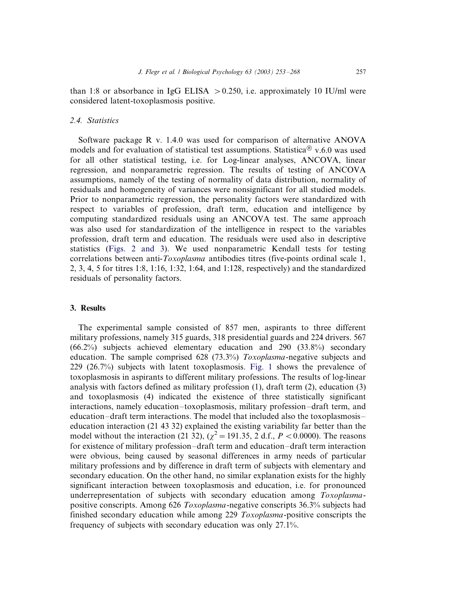than 1:8 or absorbance in IgG ELISA  $> 0.250$ , i.e. approximately 10 IU/ml were considered latent-toxoplasmosis positive.

#### 2.4. Statistics

Software package R v. 1.4.0 was used for comparison of alternative ANOVA models and for evaluation of statistical test assumptions. Statistica<sup>®</sup> v.6.0 was used for all other statistical testing, i.e. for Log-linear analyses, ANCOVA, linear regression, and nonparametric regression. The results of testing of ANCOVA assumptions, namely of the testing of normality of data distribution, normality of residuals and homogeneity of variances were nonsignificant for all studied models. Prior to nonparametric regression, the personality factors were standardized with respect to variables of profession, draft term, education and intelligence by computing standardized residuals using an ANCOVA test. The same approach was also used for standardization of the intelligence in respect to the variables profession, draft term and education. The residuals were used also in descriptive statistics ([Figs. 2 and 3](#page-6-0)). We used nonparametric Kendall tests for testing correlations between anti-*Toxoplasma* antibodies titres (five-points ordinal scale 1, 2, 3, 4, 5 for titres 1:8, 1:16, 1:32, 1:64, and 1:128, respectively) and the standardized residuals of personality factors.

## 3. Results

The experimental sample consisted of 857 men, aspirants to three different military professions, namely 315 guards, 318 presidential guards and 224 drivers. 567 (66.2%) subjects achieved elementary education and 290 (33.8%) secondary education. The sample comprised 628 (73.3%) Toxoplasma-negative subjects and 229 (26.7%) subjects with latent toxoplasmosis. [Fig. 1](#page-5-0) shows the prevalence of toxoplasmosis in aspirants to different military professions. The results of log-linear analysis with factors defined as military profession (1), draft term (2), education (3) and toxoplasmosis (4) indicated the existence of three statistically significant interactions, namely education–toxoplasmosis, military profession–draft term, and education–draft term interactions. The model that included also the toxoplasmosis– education interaction (21 43 32) explained the existing variability far better than the model without the interaction (21 32), ( $\chi^2$  = 191.35, 2 d.f., P < 0.0000). The reasons for existence of military profession–draft term and education–draft term interaction were obvious, being caused by seasonal differences in army needs of particular military professions and by difference in draft term of subjects with elementary and secondary education. On the other hand, no similar explanation exists for the highly significant interaction between toxoplasmosis and education, i.e. for pronounced underrepresentation of subjects with secondary education among *Toxoplasma*positive conscripts. Among 626 Toxoplasma-negative conscripts 36.3% subjects had finished secondary education while among 229 Toxoplasma-positive conscripts the frequency of subjects with secondary education was only 27.1%.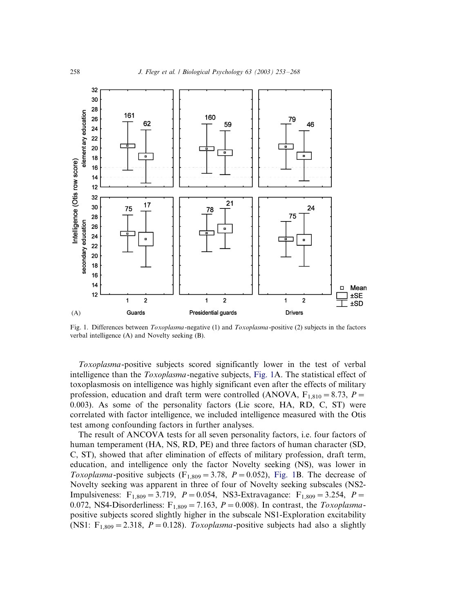<span id="page-5-0"></span>

Fig. 1. Differences between Toxoplasma -negative (1) and Toxoplasma-positive (2) subjects in the factors verbal intelligence (A) and Novelty seeking (B).

Toxoplasma-positive subjects scored significantly lower in the test of verbal intelligence than the Toxoplasma-negative subjects, Fig. 1A. The statistical effect of toxoplasmosis on intelligence was highly significant even after the effects of military profession, education and draft term were controlled (ANOVA,  $F_{1,810} = 8.73$ ,  $P =$ 0.003). As some of the personality factors (Lie score, HA, RD, C, ST) were correlated with factor intelligence, we included intelligence measured with the Otis test among confounding factors in further analyses.

The result of ANCOVA tests for all seven personality factors, i.e. four factors of human temperament (HA, NS, RD, PE) and three factors of human character (SD, C, ST), showed that after elimination of effects of military profession, draft term, education, and intelligence only the factor Novelty seeking (NS), was lower in Toxoplasma-positive subjects ( $F_{1,809} = 3.78$ ,  $P = 0.052$ ), Fig. 1B. The decrease of Novelty seeking was apparent in three of four of Novelty seeking subscales (NS2- Impulsiveness:  $F_{1,809} = 3.719$ ,  $P = 0.054$ , NS3-Extravagance:  $F_{1,809} = 3.254$ ,  $P =$ 0.072, NS4-Disorderliness:  $F_{1,809} = 7.163$ ,  $P = 0.008$ ). In contrast, the Toxoplasmapositive subjects scored slightly higher in the subscale NS1-Exploration excitability (NS1:  $F_{1,809} = 2.318$ ,  $P = 0.128$ ). Toxoplasma-positive subjects had also a slightly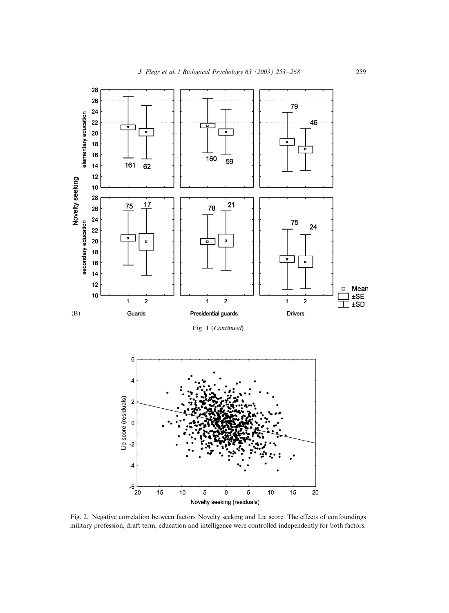<span id="page-6-0"></span>

Fig. 2. Negative correlation between factors Novelty seeking and Lie score. The effects of confoundings military profession, draft term, education and intelligence were controlled independently for both factors.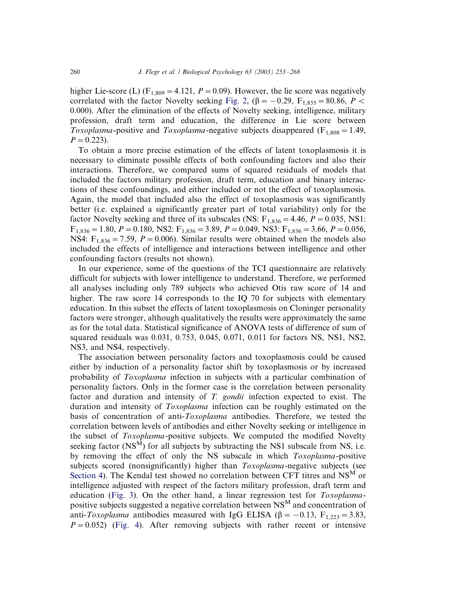higher Lie-score (L) ( $F_{1,809} = 4.121$ ,  $P = 0.09$ ). However, the lie score was negatively correlated with the factor Novelty seeking [Fig. 2](#page-6-0), ( $\beta = -0.29$ , F<sub>1,855</sub> = 80.86, P < 0.000). After the elimination of the effects of Novelty seeking, intelligence, military profession, draft term and education, the difference in Lie score between Toxoplasma-positive and Toxoplasma-negative subjects disappeared ( $F_{1,808} = 1.49$ ,  $P = 0.223$ .

To obtain a more precise estimation of the effects of latent toxoplasmosis it is necessary to eliminate possible effects of both confounding factors and also their interactions. Therefore, we compared sums of squared residuals of models that included the factors military profession, draft term, education and binary interactions of these confoundings, and either included or not the effect of toxoplasmosis. Again, the model that included also the effect of toxoplasmosis was significantly better (i.e. explained a significantly greater part of total variability) only for the factor Novelty seeking and three of its subscales (NS:  $F_{1,836} = 4.46$ ,  $P = 0.035$ , NS1:  $F_{1,836} = 1.80, P = 0.180, NS2: F_{1,836} = 3.89, P = 0.049, NS3: F_{1,836} = 3.66, P = 0.056,$ NS4:  $F_{1,836} = 7.59$ ,  $P = 0.006$ ). Similar results were obtained when the models also included the effects of intelligence and interactions between intelligence and other confounding factors (results not shown).

In our experience, some of the questions of the TCI questionnaire are relatively difficult for subjects with lower intelligence to understand. Therefore, we performed all analyses including only 789 subjects who achieved Otis raw score of 14 and higher. The raw score 14 corresponds to the IQ 70 for subjects with elementary education. In this subset the effects of latent toxoplasmosis on Cloninger personality factors were stronger, although qualitatively the results were approximately the same as for the total data. Statistical significance of ANOVA tests of difference of sum of squared residuals was 0.031, 0.753, 0.045, 0.071, 0.011 for factors NS, NS1, NS2, NS3, and NS4, respectively.

The association between personality factors and toxoplasmosis could be caused either by induction of a personality factor shift by toxoplasmosis or by increased probability of Toxoplasma infection in subjects with a particular combination of personality factors. Only in the former case is the correlation between personality factor and duration and intensity of T. gondii infection expected to exist. The duration and intensity of *Toxoplasma* infection can be roughly estimated on the basis of concentration of anti-Toxoplasma antibodies. Therefore, we tested the correlation between levels of antibodies and either Novelty seeking or intelligence in the subset of *Toxoplasma*-positive subjects. We computed the modified Novelty seeking factor ( $NS<sup>M</sup>$ ) for all subjects by subtracting the NS1 subscale from NS, i.e. by removing the effect of only the NS subscale in which *Toxoplasma*-positive subjects scored (nonsignificantly) higher than  $Toxoplasma$ -negative subjects (see [Section 4](#page-9-0)). The Kendal test showed no correlation between CFT titres and  $NS<sup>M</sup>$  or intelligence adjusted with respect of the factors military profession, draft term and education ([Fig. 3\)](#page-8-0). On the other hand, a linear regression test for *Toxoplasma*positive subjects suggested a negative correlation between  $NS<sup>M</sup>$  and concentration of anti-Toxoplasma antibodies measured with IgG ELISA ( $\beta = -0.13$ , F<sub>1,223</sub> = 3.83,  $P = 0.052$ ) ([Fig. 4\)](#page-9-0). After removing subjects with rather recent or intensive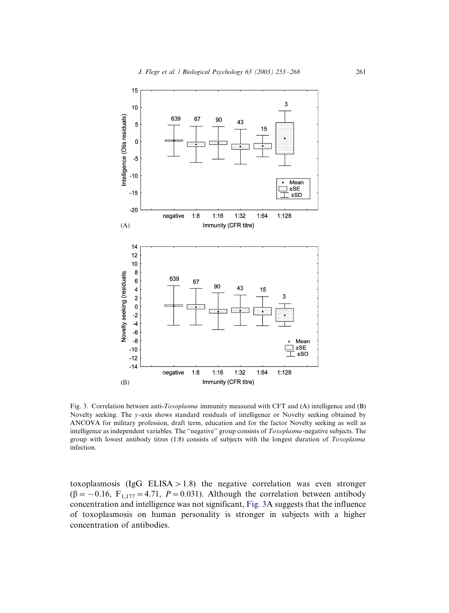<span id="page-8-0"></span>

Fig. 3. Correlation between anti-*Toxoplasma* immunity measured with CFT and (A) intelligence and (B) Novelty seeking. The y -axis shows standard residuals of intelligence or Novelty seeking obtained by ANCOVA for military profession, draft term, education and for the factor Novelty seeking as well as intelligence as independent variables. The ''negative'' group consists of Toxoplasma -negative subjects. The group with lowest antibody titres (1:8) consists of subjects with the longest duration of Toxoplasma infection.

toxoplasmosis (IgG ELISA  $> 1.8$ ) the negative correlation was even stronger  $(\beta = -0.16, F_{1,177} = 4.71, P = 0.031)$ . Although the correlation between antibody concentration and intelligence was not significant, Fig. 3A suggests that the influence of toxoplasmosis on human personality is stronger in subjects with a higher concentration of antibodies.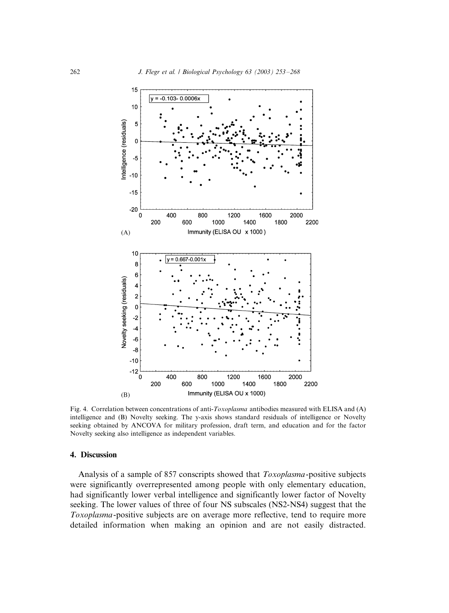<span id="page-9-0"></span>

Fig. 4. Correlation between concentrations of anti-Toxoplasma antibodies measured with ELISA and (A) intelligence and (B) Novelty seeking. The y-axis shows standard residuals of intelligence or Novelty seeking obtained by ANCOVA for military profession, draft term, and education and for the factor Novelty seeking also intelligence as independent variables.

#### 4. Discussion

Analysis of a sample of 857 conscripts showed that Toxoplasma-positive subjects were significantly overrepresented among people with only elementary education, had significantly lower verbal intelligence and significantly lower factor of Novelty seeking. The lower values of three of four NS subscales (NS2-NS4) suggest that the Toxoplasma-positive subjects are on average more reflective, tend to require more detailed information when making an opinion and are not easily distracted.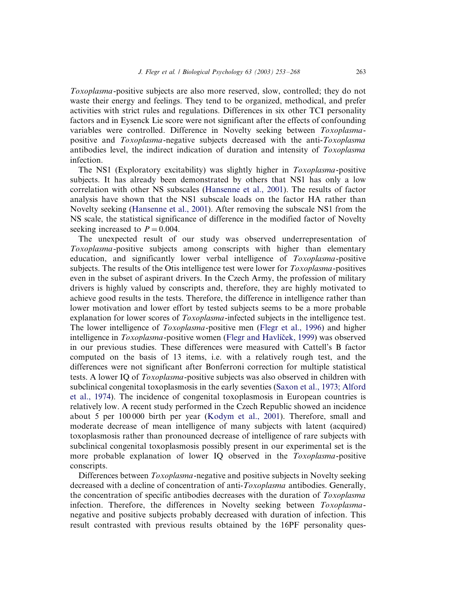Toxoplasma-positive subjects are also more reserved, slow, controlled; they do not waste their energy and feelings. They tend to be organized, methodical, and prefer activities with strict rules and regulations. Differences in six other TCI personality factors and in Eysenck Lie score were not significant after the effects of confounding variables were controlled. Difference in Novelty seeking between Toxoplasmapositive and Toxoplasma-negative subjects decreased with the anti-Toxoplasma antibodies level, the indirect indication of duration and intensity of Toxoplasma infection.

The NS1 (Exploratory excitability) was slightly higher in Toxoplasma-positive subjects. It has already been demonstrated by others that NS1 has only a low correlation with other NS subscales ([Hansenne et al., 2001\)](#page-13-0). The results of factor analysis have shown that the NS1 subscale loads on the factor HA rather than Novelty seeking ([Hansenne et al., 2001](#page-13-0)). After removing the subscale NS1 from the NS scale, the statistical significance of difference in the modified factor of Novelty seeking increased to  $P = 0.004$ .

The unexpected result of our study was observed underrepresentation of Toxoplasma-positive subjects among conscripts with higher than elementary education, and significantly lower verbal intelligence of Toxoplasma-positive subjects. The results of the Otis intelligence test were lower for *Toxoplasma*-positives even in the subset of aspirant drivers. In the Czech Army, the profession of military drivers is highly valued by conscripts and, therefore, they are highly motivated to achieve good results in the tests. Therefore, the difference in intelligence rather than lower motivation and lower effort by tested subjects seems to be a more probable explanation for lower scores of *Toxoplasma*-infected subjects in the intelligence test. The lower intelligence of *Toxoplasma*-positive men ([Flegr et al., 1996\)](#page-13-0) and higher intelligence in *Toxoplasma*-positive women [\(Flegr and Ha](#page-13-0)vlíček, 1999) was observed in our previous studies. These differences were measured with Cattell's B factor computed on the basis of 13 items, i.e. with a relatively rough test, and the differences were not significant after Bonferroni correction for multiple statistical tests. A lower IQ of *Toxoplasma*-positive subjects was also observed in children with subclinical congenital toxoplasmosis in the early seventies [\(Saxon et al., 1973; Alford](#page-14-0) [et al., 1974](#page-14-0)). The incidence of congenital toxoplasmosis in European countries is relatively low. A recent study performed in the Czech Republic showed an incidence about 5 per 100 000 birth per year [\(Kodym et al., 2001\)](#page-14-0). Therefore, small and moderate decrease of mean intelligence of many subjects with latent (acquired) toxoplasmosis rather than pronounced decrease of intelligence of rare subjects with subclinical congenital toxoplasmosis possibly present in our experimental set is the more probable explanation of lower IQ observed in the Toxoplasma-positive conscripts.

Differences between Toxoplasma-negative and positive subjects in Novelty seeking decreased with a decline of concentration of anti-*Toxoplasma* antibodies. Generally, the concentration of specific antibodies decreases with the duration of Toxoplasma infection. Therefore, the differences in Novelty seeking between Toxoplasmanegative and positive subjects probably decreased with duration of infection. This result contrasted with previous results obtained by the 16PF personality ques-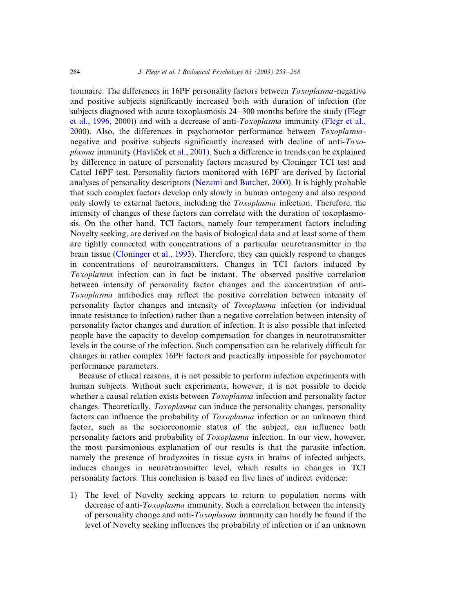tionnaire. The differences in 16PF personality factors between *Toxoplasma*-negative and positive subjects significantly increased both with duration of infection (for subjects diagnosed with acute toxoplasmosis  $24-300$  months before the study [\(Flegr](#page-13-0) [et al., 1996, 2000\)](#page-13-0)) and with a decrease of anti- $Toxoplasma$  immunity ([Flegr et al.,](#page-13-0) [2000\)](#page-13-0). Also, the differences in psychomotor performance between *Toxoplasma*negative and positive subjects significantly increased with decline of anti-Toxoplasma immunity (Havlíček et al., 2001). Such a difference in trends can be explained by difference in nature of personality factors measured by Cloninger TCI test and Cattel 16PF test. Personality factors monitored with 16PF are derived by factorial analyses of personality descriptors ([Nezami and Butcher, 2000](#page-14-0)). It is highly probable that such complex factors develop only slowly in human ontogeny and also respond only slowly to external factors, including the Toxoplasma infection. Therefore, the intensity of changes of these factors can correlate with the duration of toxoplasmosis. On the other hand, TCI factors, namely four temperament factors including Novelty seeking, are derived on the basis of biological data and at least some of them are tightly connected with concentrations of a particular neurotransmitter in the brain tissue [\(Cloninger et al., 1993](#page-13-0)). Therefore, they can quickly respond to changes in concentrations of neurotransmitters. Changes in TCI factors induced by Toxoplasma infection can in fact be instant. The observed positive correlation between intensity of personality factor changes and the concentration of anti-Toxoplasma antibodies may reflect the positive correlation between intensity of personality factor changes and intensity of Toxoplasma infection (or individual innate resistance to infection) rather than a negative correlation between intensity of personality factor changes and duration of infection. It is also possible that infected people have the capacity to develop compensation for changes in neurotransmitter levels in the course of the infection. Such compensation can be relatively difficult for changes in rather complex 16PF factors and practically impossible for psychomotor performance parameters.

Because of ethical reasons, it is not possible to perform infection experiments with human subjects. Without such experiments, however, it is not possible to decide whether a causal relation exists between *Toxoplasma* infection and personality factor changes. Theoretically, Toxoplasma can induce the personality changes, personality factors can influence the probability of *Toxoplasma* infection or an unknown third factor, such as the socioeconomic status of the subject, can influence both personality factors and probability of Toxoplasma infection. In our view, however, the most parsimonious explanation of our results is that the parasite infection, namely the presence of bradyzoites in tissue cysts in brains of infected subjects, induces changes in neurotransmitter level, which results in changes in TCI personality factors. This conclusion is based on five lines of indirect evidence:

1) The level of Novelty seeking appears to return to population norms with decrease of anti-*Toxoplasma* immunity. Such a correlation between the intensity of personality change and anti-Toxoplasma immunity can hardly be found if the level of Novelty seeking influences the probability of infection or if an unknown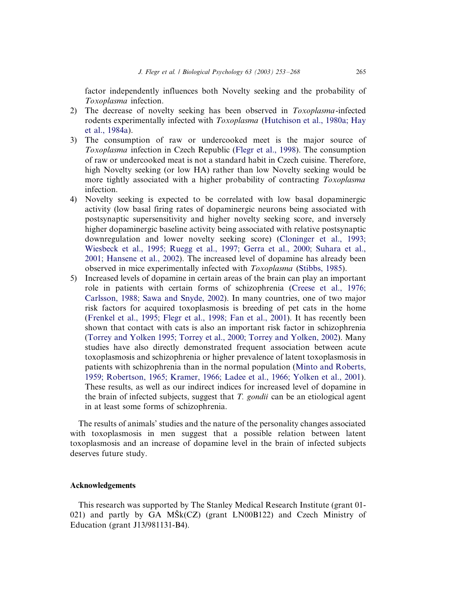factor independently influences both Novelty seeking and the probability of Toxoplasma infection.

- 2) The decrease of novelty seeking has been observed in Toxoplasma-infected rodents experimentally infected with *Toxoplasma* [\(Hutchison et al., 1980a; Hay](#page-14-0) [et al., 1984a](#page-14-0)).
- 3) The consumption of raw or undercooked meet is the major source of Toxoplasma infection in Czech Republic [\(Flegr et al., 1998\)](#page-13-0). The consumption of raw or undercooked meat is not a standard habit in Czech cuisine. Therefore, high Novelty seeking (or low HA) rather than low Novelty seeking would be more tightly associated with a higher probability of contracting Toxoplasma infection.
- 4) Novelty seeking is expected to be correlated with low basal dopaminergic activity (low basal firing rates of dopaminergic neurons being associated with postsynaptic supersensitivity and higher novelty seeking score, and inversely higher dopaminergic baseline activity being associated with relative postsynaptic downregulation and lower novelty seeking score) ([Cloninger et al., 1993;](#page-13-0) [Wiesbeck et al., 1995; Ruegg et al., 1997; Gerra et al., 2000; Suhara et al.,](#page-13-0) [2001; Hansene et al., 2002](#page-13-0)). The increased level of dopamine has already been observed in mice experimentally infected with Toxoplasma [\(Stibbs, 1985\)](#page-14-0).
- 5) Increased levels of dopamine in certain areas of the brain can play an important role in patients with certain forms of schizophrenia ([Creese et al., 1976;](#page-13-0) [Carlsson, 1988; Sawa and Snyde, 2002\)](#page-13-0). In many countries, one of two major risk factors for acquired toxoplasmosis is breeding of pet cats in the home [\(Frenkel et al., 1995; Flegr et al., 1998; Fan et al., 2001\)](#page-13-0). It has recently been shown that contact with cats is also an important risk factor in schizophrenia [\(Torrey and Yolken 1995; Torrey et al., 2000; Torrey and Yolken, 2002](#page-15-0)). Many studies have also directly demonstrated frequent association between acute toxoplasmosis and schizophrenia or higher prevalence of latent toxoplasmosis in patients with schizophrenia than in the normal population [\(Minto and Roberts,](#page-14-0) [1959; Robertson, 1965; Kramer, 1966; Ladee et al., 1966; Yolken et al., 2001\)](#page-14-0). These results, as well as our indirect indices for increased level of dopamine in the brain of infected subjects, suggest that  $T$ . gondii can be an etiological agent in at least some forms of schizophrenia.

The results of animals' studies and the nature of the personality changes associated with toxoplasmosis in men suggest that a possible relation between latent toxoplasmosis and an increase of dopamine level in the brain of infected subjects deserves future study.

# Acknowledgements

This research was supported by The Stanley Medical Research Institute (grant 01- 021) and partly by GA M $\overline{Sk}(CZ)$  (grant LN00B122) and Czech Ministry of Education (grant J13/981131-B4).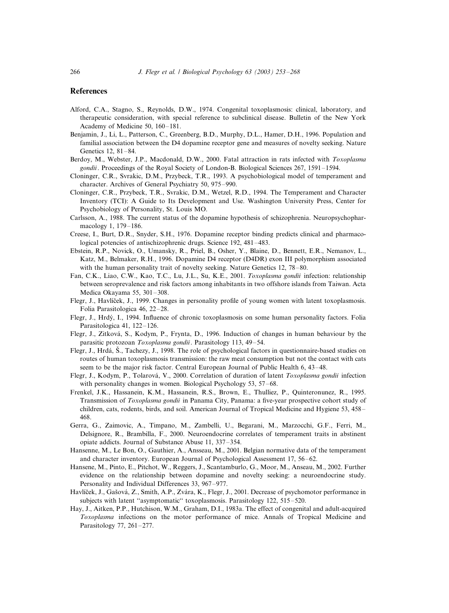#### <span id="page-13-0"></span>**References**

- Alford, C.A., Stagno, S., Reynolds, D.W., 1974. Congenital toxoplasmosis: clinical, laboratory, and therapeutic consideration, with special reference to subclinical disease. Bulletin of the New York Academy of Medicine 50, 160-181.
- Benjamin, J., Li, L., Patterson, C., Greenberg, B.D., Murphy, D.L., Hamer, D.H., 1996. Population and familial association between the D4 dopamine receptor gene and measures of novelty seeking. Nature Genetics 12, 81-84.
- Berdoy, M., Webster, J.P., Macdonald, D.W., 2000. Fatal attraction in rats infected with Toxoplasma gondii. Proceedings of the Royal Society of London-B. Biological Sciences 267, 1591–1594.
- Cloninger, C.R., Svrakic, D.M., Przybeck, T.R., 1993. A psychobiological model of temperament and character. Archives of General Psychiatry 50, 975-990.
- Cloninger, C.R., Przybeck, T.R., Svrakic, D.M., Wetzel, R.D., 1994. The Temperament and Character Inventory (TCI): A Guide to Its Development and Use. Washington University Press, Center for Psychobiology of Personality, St. Louis MO.
- Carlsson, A., 1988. The current status of the dopamine hypothesis of schizophrenia. Neuropsychopharmacology 1, 179-186.
- Creese, I., Burt, D.R., Snyder, S.H., 1976. Dopamine receptor binding predicts clinical and pharmacological potencies of antischizophrenic drugs. Science 192, 481-483.
- Ebstein, R.P., Novick, O., Umansky, R., Priel, B., Osher, Y., Blaine, D., Bennett, E.R., Nemanov, L., Katz, M., Belmaker, R.H., 1996. Dopamine D4 receptor (D4DR) exon III polymorphism associated with the human personality trait of novelty seeking. Nature Genetics  $12$ ,  $78-80$ .
- Fan, C.K., Liao, C.W., Kao, T.C., Lu, J.L., Su, K.E., 2001. Toxoplasma gondii infection: relationship between seroprevalence and risk factors among inhabitants in two offshore islands from Taiwan. Acta Medica Okayama 55, 301-308.
- Flegr, J., Havlíček, J., 1999. Changes in personality profile of young women with latent toxoplasmosis. Folia Parasitologica 46, 22-28.
- Flegr, J., Hrdý, I., 1994. Influence of chronic toxoplasmosis on some human personality factors. Folia Parasitologica 41,  $122-126$ .
- Flegr, J., Zitková, S., Kodym, P., Frynta, D., 1996. Induction of changes in human behaviour by the parasitic protozoan  $Toxoplasm$ a gondii. Parasitology 113, 49-54.
- Flegr, J., Hrdá, S., Tachezy, J., 1998. The role of psychological factors in questionnaire-based studies on routes of human toxoplasmosis transmission: the raw meat consumption but not the contact with cats seem to be the major risk factor. Central European Journal of Public Health 6, 43–48.
- Flegr, J., Kodym, P., Tolarová, V., 2000. Correlation of duration of latent Toxoplasma gondii infection with personality changes in women. Biological Psychology  $53$ ,  $57-68$ .
- Frenkel, J.K., Hassanein, K.M., Hassanein, R.S., Brown, E., Thulliez, P., Quinteronunez, R., 1995. Transmission of Toxoplasma gondii in Panama City, Panama: a five-year prospective cohort study of children, cats, rodents, birds, and soil. American Journal of Tropical Medicine and Hygiene 53, 458-468.
- Gerra, G., Zaimovic, A., Timpano, M., Zambelli, U., Begarani, M., Marzocchi, G.F., Ferri, M., Delsignore, R., Brambilla, F., 2000. Neuroendocrine correlates of temperament traits in abstinent opiate addicts. Journal of Substance Abuse 11, 337–354.
- Hansenne, M., Le Bon, O., Gauthier, A., Ansseau, M., 2001. Belgian normative data of the temperament and character inventory. European Journal of Psychological Assessment  $17$ ,  $56-62$ .
- Hansene, M., Pinto, E., Pitchot, W., Reggers, J., Scantamburlo, G., Moor, M., Anseau, M., 2002. Further evidence on the relationship between dopamine and novelty seeking: a neuroendocrine study. Personality and Individual Differences 33, 967-977.
- Havlíček, J., Gašová, Z., Smith, A.P., Zvára, K., Flegr, J., 2001. Decrease of psychomotor performance in subjects with latent "asymptomatic" toxoplasmosis. Parasitology  $122$ ,  $515-520$ .
- Hay, J., Aitken, P.P., Hutchison, W.M., Graham, D.I., 1983a. The effect of congenital and adult-acquired Toxoplasma infections on the motor performance of mice. Annals of Tropical Medicine and Parasitology  $77, 261-277$ .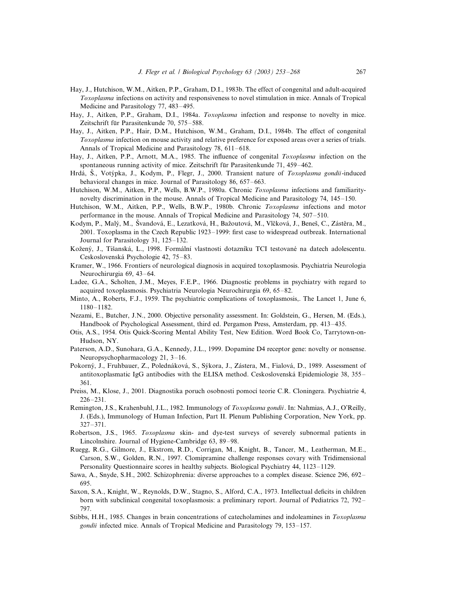- <span id="page-14-0"></span>Hay, J., Hutchison, W.M., Aitken, P.P., Graham, D.I., 1983b. The effect of congenital and adult-acquired Toxoplasma infections on activity and responsiveness to novel stimulation in mice. Annals of Tropical Medicine and Parasitology 77, 483-495.
- Hay, J., Aitken, P.P., Graham, D.I., 1984a. Toxoplasma infection and response to novelty in mice. Zeitschrift für Parasitenkunde 70, 575-588.
- Hay, J., Aitken, P.P., Hair, D.M., Hutchison, W.M., Graham, D.I., 1984b. The effect of congenital Toxoplasma infection on mouse activity and relative preference for exposed areas over a series of trials. Annals of Tropical Medicine and Parasitology 78, 611-618.
- Hay, J., Aitken, P.P., Arnott, M.A., 1985. The influence of congenital Toxoplasma infection on the spontaneous running activity of mice. Zeitschrift für Parasitenkunde 71, 459–462.
- Hrdá, Š., Votýpka, J., Kodym, P., Flegr, J., 2000. Transient nature of Toxoplasma gondii-induced behavioral changes in mice. Journal of Parasitology  $86, 657-663$ .
- Hutchison, W.M., Aitken, P.P., Wells, B.W.P., 1980a. Chronic Toxoplasma infections and familiaritynovelty discrimination in the mouse. Annals of Tropical Medicine and Parasitology 74, 145–150.
- Hutchison, W.M., Aitken, P.P., Wells, B.W.P., 1980b. Chronic Toxoplasma infections and motor performance in the mouse. Annals of Tropical Medicine and Parasitology 74, 507-510.
- Kodym, P., Malý, M., Švandová, E., Lezatková, H., Bažoutová, M., Vlčková, J., Beneš, C., Zástěra, M.,  $2001$ . Toxoplasma in the Czech Republic 1923–1999: first case to widespread outbreak. International Journal for Parasitology 31, 125-132.
- Kožený, J., Tišanská, L., 1998. Formální vlastnosti dotazníku TCI testované na datech adolescentu. Ceskoslovenská Psychologie 42, 75-83.
- Kramer, W., 1966. Frontiers of neurological diagnosis in acquired toxoplasmosis. Psychiatria Neurologia Neurochirurgia 69, 43-64.
- Ladee, G.A., Scholten, J.M., Meyes, F.E.P., 1966. Diagnostic problems in psychiatry with regard to acquired toxoplasmosis. Psychiatria Neurologia Neurochirurgia 69, 65–82.
- Minto, A., Roberts, F.J., 1959. The psychiatric complications of toxoplasmosis,. The Lancet 1, June 6, 1180-1182.
- Nezami, E., Butcher, J.N., 2000. Objective personality assessment. In: Goldstein, G., Hersen, M. (Eds.), Handbook of Psychological Assessment, third ed. Pergamon Press, Amsterdam, pp. 413-435.
- Otis, A.S., 1954. Otis Quick-Scoring Mental Ability Test, New Edition. Word Book Co, Tarrytown-on-Hudson, NY.
- Paterson, A.D., Sunohara, G.A., Kennedy, J.L., 1999. Dopamine D4 receptor gene: novelty or nonsense. Neuropsychopharmacology 21, 3-16.
- Pokorný, J., Fruhbauer, Z., Polednáková, S., Sýkora, J., Zástera, M., Fialová, D., 1989. Assessment of antitoxoplasmatic IgG antibodies with the ELISA method. Ceskoslovenská Epidemiologie 38, 355-361.
- Preiss, M., Klose, J., 2001. Diagnostika poruch osobnosti pomocí teorie C.R. Cloningera. Psychiatrie 4,  $226 - 231$ .
- Remington, J.S., Krahenbuhl, J.L., 1982. Immunology of Toxoplasma gondii. In: Nahmias, A.J., O'Reilly, J. (Eds.), Immunology of Human Infection, Part II. Plenum Publishing Corporation, New York, pp.  $327 - 371$ .
- Robertson, J.S., 1965. Toxoplasma skin- and dye-test surveys of severely subnormal patients in Lincolnshire. Journal of Hygiene-Cambridge 63, 89–98.
- Ruegg, R.G., Gilmore, J., Ekstrom, R.D., Corrigan, M., Knight, B., Tancer, M., Leatherman, M.E., Carson, S.W., Golden, R.N., 1997. Clomipramine challenge responses covary with Tridimensional Personality Questionnaire scores in healthy subjects. Biological Psychiatry 44, 1123-1129.
- Sawa, A., Snyde, S.H., 2002. Schizophrenia: diverse approaches to a complex disease. Science 296, 692-695.
- Saxon, S.A., Knight, W., Reynolds, D.W., Stagno, S., Alford, C.A., 1973. Intellectual deficits in children born with subclinical congenital toxoplasmosis: a preliminary report. Journal of Pediatrics 72, 792-797.
- Stibbs, H.H., 1985. Changes in brain concentrations of catecholamines and indoleamines in *Toxoplasma* gondii infected mice. Annals of Tropical Medicine and Parasitology 79, 153-157.